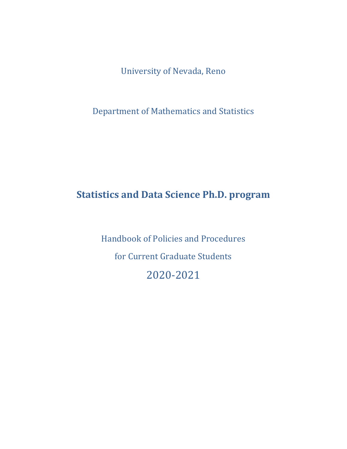University of Nevada, Reno

Department of Mathematics and Statistics

# **Statistics and Data Science Ph.D. program**

Handbook of Policies and Procedures for Current Graduate Students 2020-2021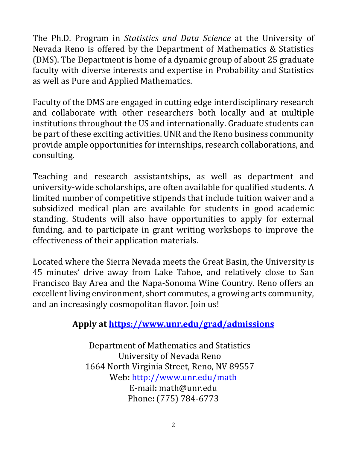The Ph.D. Program in *Statistics and Data Science* at the University of Nevada Reno is offered by the Department of Mathematics & Statistics (DMS). The Department is home of a dynamic group of about 25 graduate faculty with diverse interests and expertise in Probability and Statistics as well as Pure and Applied Mathematics.

Faculty of the DMS are engaged in cutting edge interdisciplinary research and collaborate with other researchers both locally and at multiple institutions throughout the US and internationally. Graduate students can be part of these exciting activities. UNR and the Reno business community provide ample opportunities for internships, research collaborations, and consulting.

Teaching and research assistantships, as well as department and university-wide scholarships, are often available for qualified students. A limited number of competitive stipends that include tuition waiver and a subsidized medical plan are available for students in good academic standing. Students will also have opportunities to apply for external funding, and to participate in grant writing workshops to improve the effectiveness of their application materials.

Located where the Sierra Nevada meets the Great Basin, the University is 45 minutes' drive away from Lake Tahoe, and relatively close to San Francisco Bay Area and the Napa-Sonoma Wine Country. Reno offers an excellent living environment, short commutes, a growing arts community, and an increasingly cosmopolitan flavor. Join us!

# **Apply at<https://www.unr.edu/grad/admissions>**

Department of Mathematics and Statistics University of Nevada Reno n 1664 North Virginia Street, Reno, NV 89557 Web**:** <http://www.unr.edu/math> E-mail**:** math@unr.edu Phone**:** (775) 784-6773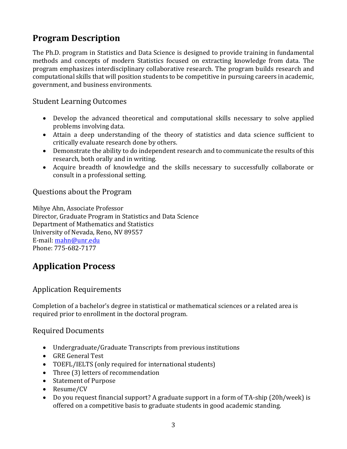# **Program Description**

The Ph.D. program in Statistics and Data Science is designed to provide training in fundamental methods and concepts of modern Statistics focused on extracting knowledge from data. The program emphasizes interdisciplinary collaborative research. The program builds research and computational skills that will position students to be competitive in pursuing careers in academic, government, and business environments.

### Student Learning Outcomes

- Develop the advanced theoretical and computational skills necessary to solve applied problems involving data.
- Attain a deep understanding of the theory of statistics and data science sufficient to critically evaluate research done by others.
- Demonstrate the ability to do independent research and to communicate the results of this research, both orally and in writing.
- Acquire breadth of knowledge and the skills necessary to successfully collaborate or consult in a professional setting.

### Questions about the Program

Mihye Ahn, Associate Professor Director, Graduate Program in Statistics and Data Science Department of Mathematics and Statistics University of Nevada, Reno, NV 89557 E-mail[: mahn@unr.edu](mailto:mahn@unr.edu) Phone: 775-682-7177

### **Application Process**

### Application Requirements

Completion of a bachelor's degree in statistical or mathematical sciences or a related area is required prior to enrollment in the doctoral program.

### Required Documents

- Undergraduate/Graduate Transcripts from previous institutions
- GRE General Test
- TOEFL/IELTS (only required for international students)
- Three (3) letters of recommendation
- Statement of Purpose
- Resume/CV
- Do you request financial support? A graduate support in a form of TA-ship (20h/week) is offered on a competitive basis to graduate students in good academic standing.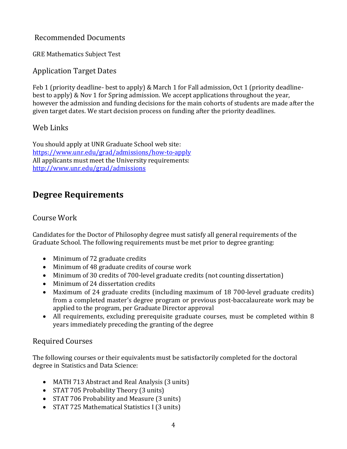### Recommended Documents

GRE Mathematics Subject Test

### Application Target Dates

Feb 1 (priority deadline- best to apply) & March 1 for Fall admission, Oct 1 (priority deadlinebest to apply) & Nov 1 for Spring admission. We accept applications throughout the year, however the admission and funding decisions for the main cohorts of students are made after the given target dates. We start decision process on funding after the priority deadlines.

### Web Links

You should apply at UNR Graduate School web site: <https://www.unr.edu/grad/admissions/how-to-apply> All applicants must meet the University requirements: <http://www.unr.edu/grad/admissions>

## **Degree Requirements**

### Course Work

Candidates for the Doctor of Philosophy degree must satisfy all general requirements of the Graduate School. The following requirements must be met prior to degree granting:

- Minimum of 72 graduate credits
- Minimum of 48 graduate credits of course work
- Minimum of 30 credits of 700-level graduate credits (not counting dissertation)
- Minimum of 24 dissertation credits
- Maximum of 24 graduate credits (including maximum of 18 700-level graduate credits) from a completed master's degree program or previous post-baccalaureate work may be applied to the program, per Graduate Director approval
- All requirements, excluding prerequisite graduate courses, must be completed within 8 years immediately preceding the granting of the degree

### Required Courses

The following courses or their equivalents must be satisfactorily completed for the doctoral degree in Statistics and Data Science:

- MATH 713 Abstract and Real Analysis (3 units)
- STAT 705 Probability Theory (3 units)
- STAT 706 Probability and Measure (3 units)
- STAT 725 Mathematical Statistics I (3 units)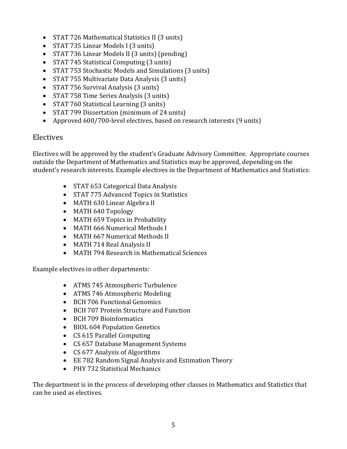- STAT 726 Mathematical Statistics II (3 units)
- STAT 735 Linear Models I (3 units)
- STAT 736 Linear Models II (3 units) (pending)
- STAT 745 Statistical Computing (3 units)
- STAT 753 Stochastic Models and Simulations (3 units)
- STAT 755 Multivariate Data Analysis (3 units)
- STAT 756 Survival Analysis (3 units)
- STAT 758 Time Series Analysis (3 units)
- STAT 760 Statistical Learning (3 units)
- STAT 799 Dissertation (minimum of 24 units)
- Approved 600/700-level electives, based on research interests (9 units)

#### Electives

Electives will be approved by the student's Graduate Advisory Committee. Appropriate courses outside the Department of Mathematics and Statistics may be approved, depending on the student's research interests. Example electives in the Department of Mathematics and Statistics:

- STAT 653 Categorical Data Analysis
- STAT 775 Advanced Topics in Statistics
- MATH 630 Linear Algebra II
- MATH 640 Topology
- MATH 659 Topics in Probability
- MATH 666 Numerical Methods I
- MATH 667 Numerical Methods II
- MATH 714 Real Analysis II
- MATH 794 Research in Mathematical Sciences

Example electives in other departments:

- ATMS 745 Atmospheric Turbulence
- ATMS 746 Atmospheric Modeling
- BCH 706 Functional Genomics
- BCH 707 Protein Structure and Function
- BCH 709 Bioinformatics
- BIOL 604 Population Genetics
- CS 615 Parallel Computing
- CS 657 Database Management Systems
- CS 677 Analysis of Algorithms
- EE 782 Random Signal Analysis and Estimation Theory
- PHY 732 Statistical Mechanics

The department is in the process of developing other classes in Mathematics and Statistics that can be used as electives.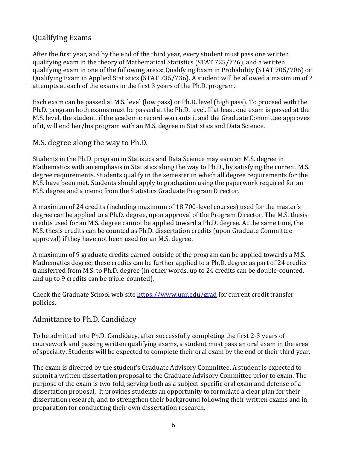### Qualifying Exams

After the first year, and by the end of the third year, every student must pass one written qualifying exam in the theory of Mathematical Statistics (STAT 725/726), and a written qualifying exam in one of the following areas: Qualifying Exam in Probability (STAT 705/706) or Qualifying Exam in Applied Statistics (STAT 735/736). A student will be allowed a maximum of 2 attempts at each of the exams in the first 3 years of the Ph.D. program.

Each exam can be passed at M.S. level (low pass) or Ph.D. level (high pass). To proceed with the Ph.D. program both exams must be passed at the Ph.D. level. If at least one exam is passed at the M.S. level, the student, if the academic record warrants it and the Graduate Committee approves of it, will end her/his program with an M.S. degree in Statistics and Data Science.

#### M.S. degree along the way to Ph.D.

Students in the Ph.D. program in Statistics and Data Science may earn an M.S. degree in Mathematics with an emphasis in Statistics along the way to Ph.D., by satisfying the current M.S. degree requirements. Students qualify in the semester in which all degree requirements for the M.S. have been met. Students should apply to graduation using the paperwork required for an M.S. degree and a memo from the Statistics Graduate Program Director.

A maximum of 24 credits (including maximum of 18 700-level courses) used for the master's degree can be applied to a Ph.D. degree, upon approval of the Program Director. The M.S. thesis credits used for an M.S. degree cannot be applied toward a Ph.D. degree. At the same time, the M.S. thesis credits can be counted as Ph.D. dissertation credits (upon Graduate Committee approval) if they have not been used for an M.S. degree.

A maximum of 9 graduate credits earned outside of the program can be applied towards a M.S. Mathematics degree; these credits can be further applied to a Ph.D. degree as part of 24 credits transferred from M.S. to Ph.D. degree (in other words, up to 24 credits can be double-counted, and up to 9 credits can be triple-counted).

Check the Graduate School web site<https://www.unr.edu/grad> for current credit transfer policies.

### Admittance to Ph.D. Candidacy

To be admitted into Ph.D. Candidacy, after successfully completing the first 2-3 years of coursework and passing written qualifying exams, a student must pass an oral exam in the area of specialty. Students will be expected to complete their oral exam by the end of their third year.

The exam is directed by the student's Graduate Advisory Committee. A student is expected to submit a written dissertation proposal to the Graduate Advisory Committee prior to exam. The purpose of the exam is two-fold, serving both as a subject-specific oral exam and defense of a dissertation proposal. It provides students an opportunity to formulate a clear plan for their dissertation research, and to strengthen their background following their written exams and in preparation for conducting their own dissertation research.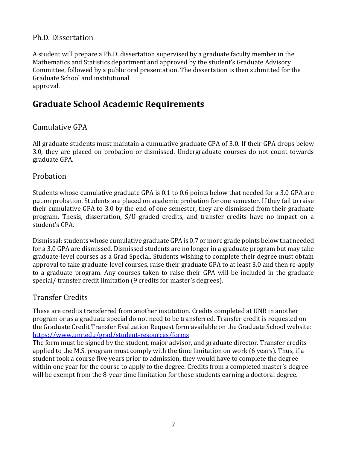### Ph.D. Dissertation

A student will prepare a Ph.D. dissertation supervised by a graduate faculty member in the Mathematics and Statistics department and approved by the student's Graduate Advisory Committee, followed by a public oral presentation. The dissertation is then submitted for the Graduate School and institutional approval.

## **Graduate School Academic Requirements**

### Cumulative GPA

All graduate students must maintain a cumulative graduate GPA of 3.0. If their GPA drops below 3.0, they are placed on probation or dismissed. Undergraduate courses do not count towards graduate GPA.

#### Probation

Students whose cumulative graduate GPA is 0.1 to 0.6 points below that needed for a 3.0 GPA are put on probation. Students are placed on academic probation for one semester. If they fail to raise their cumulative GPA to 3.0 by the end of one semester, they are dismissed from their graduate program. Thesis, dissertation, S/U graded credits, and transfer credits have no impact on a student's GPA.

Dismissal: students whose cumulative graduate GPA is 0.7 or more grade points below that needed for a 3.0 GPA are dismissed. Dismissed students are no longer in a graduate program but may take graduate-level courses as a Grad Special. Students wishing to complete their degree must obtain approval to take graduate-level courses, raise their graduate GPA to at least 3.0 and then re-apply to a graduate program. Any courses taken to raise their GPA will be included in the graduate special/ transfer credit limitation (9 credits for master's degrees).

### Transfer Credits

These are credits transferred from another institution. Credits completed at UNR in another program or as a graduate special do not need to be transferred. Transfer credit is requested on the Graduate Credit Transfer Evaluation Request form available on the Graduate School website: <https://www.unr.edu/grad/student-resources/forms>

The form must be signed by the student, major advisor, and graduate director. Transfer credits applied to the M.S. program must comply with the time limitation on work (6 years). Thus, if a student took a course five years prior to admission, they would have to complete the degree within one year for the course to apply to the degree. Credits from a completed master's degree will be exempt from the 8-year time limitation for those students earning a doctoral degree.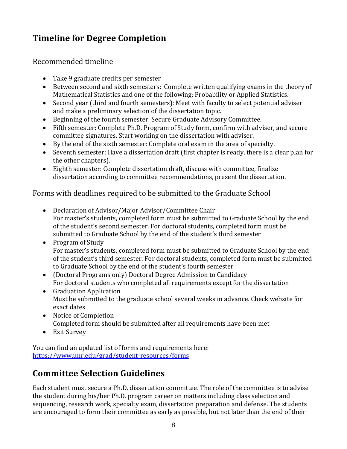# **Timeline for Degree Completion**

### Recommended timeline

- Take 9 graduate credits per semester
- Between second and sixth semesters:Complete written qualifying exams in the theory of Mathematical Statistics and one of the following: Probability or Applied Statistics.
- Second year (third and fourth semesters): Meet with faculty to select potential adviser and make a preliminary selection of the dissertation topic.
- Beginning of the fourth semester: Secure Graduate Advisory Committee.
- Fifth semester: Complete Ph.D. Program of Study form, confirm with adviser, and secure committee signatures. Start working on the dissertation with adviser.
- By the end of the sixth semester: Complete oral exam in the area of specialty.
- Seventh semester: Have a dissertation draft (first chapter is ready, there is a clear plan for the other chapters).
- Eighth semester: Complete dissertation draft, discuss with committee, finalize dissertation according to committee recommendations, present the dissertation.

### Forms with deadlines required to be submitted to the Graduate School

- Declaration of Advisor/Major Advisor/Committee Chair For master's students, completed form must be submitted to Graduate School by the end of the student's second semester. For doctoral students, completed form must be submitted to Graduate School by the end of the student's third semester
- Program of Study For master's students, completed form must be submitted to Graduate School by the end of the student's third semester. For doctoral students, completed form must be submitted to Graduate School by the end of the student's fourth semester
- (Doctoral Programs only) Doctoral Degree Admission to Candidacy For doctoral students who completed all requirements except for the dissertation
- Graduation Application Must be submitted to the graduate school several weeks in advance. Check website for exact dates
- Notice of Completion Completed form should be submitted after all requirements have been met
- Exit Survey

You can find an updated list of forms and requirements here: <https://www.unr.edu/grad/student-resources/forms>

# **Committee Selection Guidelines**

Each student must secure a Ph.D. dissertation committee. The role of the committee is to advise the student during his/her Ph.D. program career on matters including class selection and sequencing, research work, specialty exam, dissertation preparation and defense. The students are encouraged to form their committee as early as possible, but not later than the end of their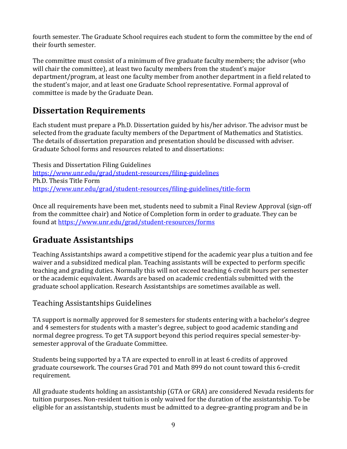fourth semester. The Graduate School requires each student to form the committee by the end of their fourth semester.

The committee must consist of a minimum of five graduate faculty members; the advisor (who will chair the committee), at least two faculty members from the student's major department/program, at least one faculty member from another department in a field related to the student's major, and at least one Graduate School representative. Formal approval of committee is made by the Graduate Dean.

## **Dissertation Requirements**

Each student must prepare a Ph.D. Dissertation guided by his/her advisor. The advisor must be selected from the graduate faculty members of the Department of Mathematics and Statistics. The details of dissertation preparation and presentation should be discussed with adviser. Graduate School forms and resources related to and dissertations:

Thesis and Dissertation Filing Guidelines <https://www.unr.edu/grad/student-resources/filing-guidelines> Ph.D. Thesis Title Form <https://www.unr.edu/grad/student-resources/filing-guidelines/title-form>

Once all requirements have been met, students need to submit a Final Review Approval (sign-off from the committee chair) and Notice of Completion form in order to graduate. They can be found at<https://www.unr.edu/grad/student-resources/forms>

# **Graduate Assistantships**

Teaching Assistantships award a competitive stipend for the academic year plus a tuition and fee waiver and a subsidized medical plan. Teaching assistants will be expected to perform specific teaching and grading duties. Normally this will not exceed teaching 6 credit hours per semester or the academic equivalent. Awards are based on academic credentials submitted with the graduate school application. Research Assistantships are sometimes available as well.

### Teaching Assistantships Guidelines

TA support is normally approved for 8 semesters for students entering with a bachelor's degree and 4 semesters for students with a master's degree, subject to good academic standing and normal degree progress. To get TA support beyond this period requires special semester-bysemester approval of the Graduate Committee.

Students being supported by a TA are expected to enroll in at least 6 credits of approved graduate coursework. The courses Grad 701 and Math 899 do not count toward this 6-credit requirement.

All graduate students holding an assistantship (GTA or GRA) are considered Nevada residents for tuition purposes. Non-resident tuition is only waived for the duration of the assistantship. To be eligible for an assistantship, students must be admitted to a degree-granting program and be in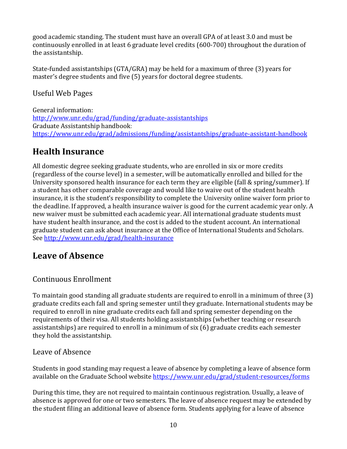good academic standing. The student must have an overall GPA of at least 3.0 and must be continuously enrolled in at least 6 graduate level credits (600-700) throughout the duration of the assistantship.

State-funded assistantships (GTA/GRA) may be held for a maximum of three (3) years for master's degree students and five (5) years for doctoral degree students.

Useful Web Pages

General information: <http://www.unr.edu/grad/funding/graduate-assistantships> Graduate Assistantship handbook: <https://www.unr.edu/grad/admissions/funding/assistantships/graduate-assistant-handbook>

# **Health Insurance**

All domestic degree seeking graduate students, who are enrolled in six or more credits (regardless of the course level) in a semester, will be automatically enrolled and billed for the University sponsored health insurance for each term they are eligible (fall & spring/summer). If a student has other comparable coverage and would like to waive out of the student health insurance, it is the student's responsibility to complete the University online waiver form prior to the deadline. If approved, a health insurance waiver is good for the current academic year only. A new waiver must be submitted each academic year. All international graduate students must have student health insurance, and the cost is added to the student account. An international graduate student can ask about insurance at the Office of International Students and Scholars. See<http://www.unr.edu/grad/health-insurance>

# **Leave of Absence**

### Continuous Enrollment

To maintain good standing all graduate students are required to enroll in a minimum of three (3) graduate credits each fall and spring semester until they graduate. International students may be required to enroll in nine graduate credits each fall and spring semester depending on the requirements of their visa. All students holding assistantships (whether teaching or research assistantships) are required to enroll in a minimum of six (6) graduate credits each semester they hold the assistantship.

### Leave of Absence

Students in good standing may request a leave of absence by completing a leave of absence form available on the Graduate School website<https://www.unr.edu/grad/student-resources/forms>

During this time, they are not required to maintain continuous registration. Usually, a leave of absence is approved for one or two semesters. The leave of absence request may be extended by the student filing an additional leave of absence form. Students applying for a leave of absence